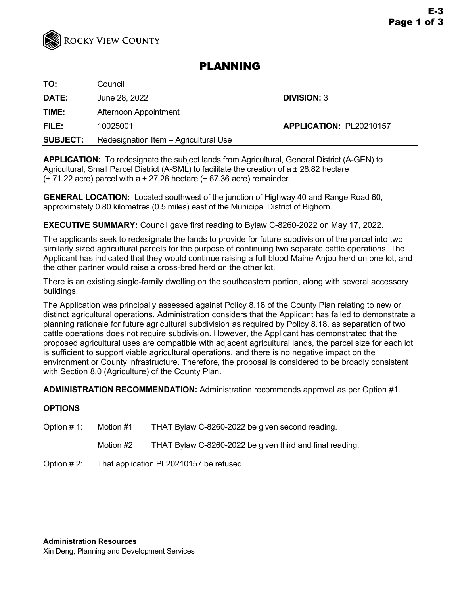

# PLANNING

**TO:** Council

**DATE:** June 28, 2022 **DIVISION:** 3

**TIME:** Afternoon Appointment

**FILE:** 10025001 **APPLICATION:** PL20210157

**SUBJECT:** Redesignation Item – Agricultural Use

**APPLICATION:** To redesignate the subject lands from Agricultural, General District (A-GEN) to Agricultural, Small Parcel District (A-SML) to facilitate the creation of a ± 28.82 hectare  $(\pm 71.22$  acre) parcel with a  $\pm 27.26$  hectare ( $\pm 67.36$  acre) remainder.

**GENERAL LOCATION:** Located southwest of the junction of Highway 40 and Range Road 60, approximately 0.80 kilometres (0.5 miles) east of the Municipal District of Bighorn.

# **EXECUTIVE SUMMARY:** Council gave first reading to Bylaw C-8260-2022 on May 17, 2022.

The applicants seek to redesignate the lands to provide for future subdivision of the parcel into two similarly sized agricultural parcels for the purpose of continuing two separate cattle operations. The Applicant has indicated that they would continue raising a full blood Maine Anjou herd on one lot, and the other partner would raise a cross-bred herd on the other lot.

There is an existing single-family dwelling on the southeastern portion, along with several accessory buildings.

The Application was principally assessed against Policy 8.18 of the County Plan relating to new or distinct agricultural operations. Administration considers that the Applicant has failed to demonstrate a planning rationale for future agricultural subdivision as required by Policy 8.18, as separation of two cattle operations does not require subdivision. However, the Applicant has demonstrated that the proposed agricultural uses are compatible with adjacent agricultural lands, the parcel size for each lot is sufficient to support viable agricultural operations, and there is no negative impact on the environment or County infrastructure. Therefore, the proposal is considered to be broadly consistent with Section 8.0 (Agriculture) of the County Plan.

**ADMINISTRATION RECOMMENDATION:** Administration recommends approval as per Option #1.

# **OPTIONS**

- Option # 1: Motion #1 THAT Bylaw C-8260-2022 be given second reading.
	- Motion #2 THAT Bylaw C-8260-2022 be given third and final reading.
- Option # 2: That application PL20210157 be refused.

**Administration Resources** Xin Deng, Planning and Development Services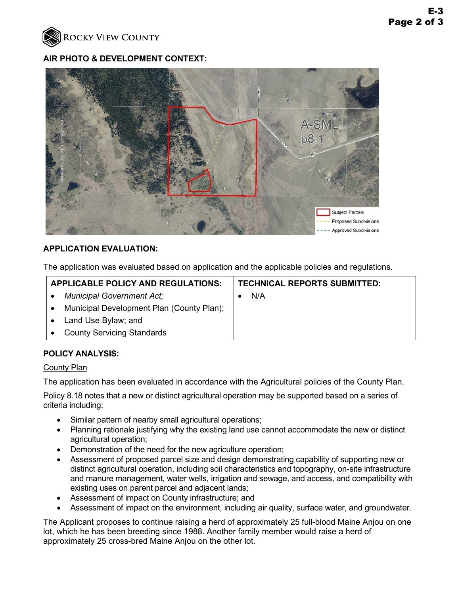

#### **AIR PHOTO & DEVELOPMENT CONTEXT:**



## **APPLICATION EVALUATION:**

The application was evaluated based on application and the applicable policies and regulations.

| <b>APPLICABLE POLICY AND REGULATIONS:</b> |                                           | <b>TECHNICAL REPORTS SUBMITTED:</b> |     |
|-------------------------------------------|-------------------------------------------|-------------------------------------|-----|
|                                           | <b>Municipal Government Act;</b>          |                                     | N/A |
|                                           | Municipal Development Plan (County Plan); |                                     |     |
|                                           | Land Use Bylaw; and                       |                                     |     |
|                                           | <b>County Servicing Standards</b>         |                                     |     |
|                                           |                                           |                                     |     |

## **POLICY ANALYSIS:**

#### **County Plan**

The application has been evaluated in accordance with the Agricultural policies of the County Plan.

Policy 8.18 notes that a new or distinct agricultural operation may be supported based on a series of criteria including:

- Similar pattern of nearby small agricultural operations;
- Planning rationale justifying why the existing land use cannot accommodate the new or distinct agricultural operation;
- Demonstration of the need for the new agriculture operation;
- Assessment of proposed parcel size and design demonstrating capability of supporting new or distinct agricultural operation, including soil characteristics and topography, on-site infrastructure and manure management, water wells, irrigation and sewage, and access, and compatibility with existing uses on parent parcel and adjacent lands;
- Assessment of impact on County infrastructure; and
- Assessment of impact on the environment, including air quality, surface water, and groundwater.

The Applicant proposes to continue raising a herd of approximately 25 full-blood Maine Anjou on one lot, which he has been breeding since 1988. Another family member would raise a herd of approximately 25 cross-bred Maine Anjou on the other lot.